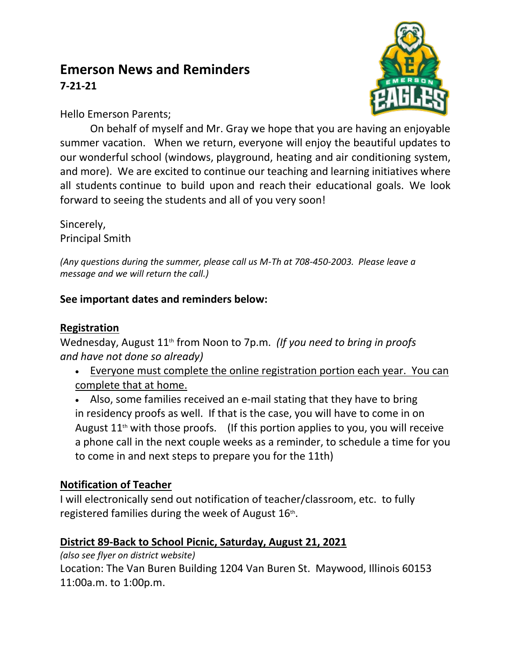# **Emerson News and Reminders 7-21-21**



Hello Emerson Parents;

On behalf of myself and Mr. Gray we hope that you are having an enjoyable summer vacation. When we return, everyone will enjoy the beautiful updates to our wonderful school (windows, playground, heating and air conditioning system, and more). We are excited to continue our teaching and learning initiatives where all students continue to build upon and reach their educational goals. We look forward to seeing the students and all of you very soon!

Sincerely, Principal Smith

*(Any questions during the summer, please call us M-Th at 708-450-2003. Please leave a message and we will return the call.)*

## **See important dates and reminders below:**

#### **Registration**

Wednesday, August 11<sup>th</sup> from Noon to 7p.m. (If you need to bring in proofs *and have not done so already)*

 Everyone must complete the online registration portion each year. You can complete that at home.

 Also, some families received an e-mail stating that they have to bring in residency proofs as well. If that is the case, you will have to come in on August  $11<sup>th</sup>$  with those proofs. (If this portion applies to you, you will receive a phone call in the next couple weeks as a reminder, to schedule a time for you to come in and next steps to prepare you for the 11th)

## **Notification of Teacher**

I will electronically send out notification of teacher/classroom, etc. to fully registered families during the week of August  $16$ <sup>th</sup>.

## **District 89-Back to School Picnic, Saturday, August 21, 2021**

*(also see flyer on district website)*

Location: The Van Buren Building 1204 Van Buren St. Maywood, Illinois 60153 11:00a.m. to 1:00p.m.